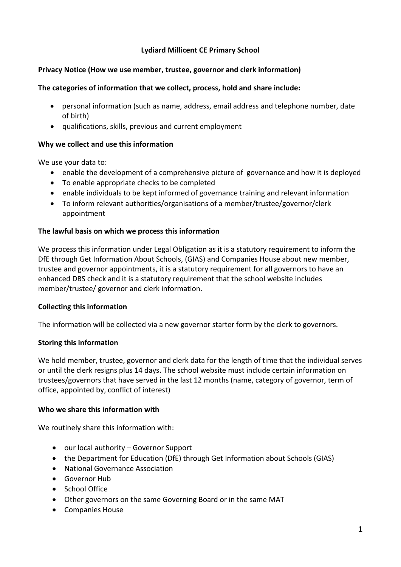# **Lydiard Millicent CE Primary School**

# **Privacy Notice (How we use member, trustee, governor and clerk information)**

### **The categories of information that we collect, process, hold and share include:**

- personal information (such as name, address, email address and telephone number, date of birth)
- qualifications, skills, previous and current employment

# **Why we collect and use this information**

We use your data to:

- enable the development of a comprehensive picture of governance and how it is deployed
- To enable appropriate checks to be completed
- enable individuals to be kept informed of governance training and relevant information
- To inform relevant authorities/organisations of a member/trustee/governor/clerk appointment

### **The lawful basis on which we process this information**

We process this information under Legal Obligation as it is a statutory requirement to inform the DfE through Get Information About Schools, (GIAS) and Companies House about new member, trustee and governor appointments, it is a statutory requirement for all governors to have an enhanced DBS check and it is a statutory requirement that the school website includes member/trustee/ governor and clerk information.

# **Collecting this information**

The information will be collected via a new governor starter form by the clerk to governors.

# **Storing this information**

We hold member, trustee, governor and clerk data for the length of time that the individual serves or until the clerk resigns plus 14 days. The school website must include certain information on trustees/governors that have served in the last 12 months (name, category of governor, term of office, appointed by, conflict of interest)

#### **Who we share this information with**

We routinely share this information with:

- our local authority Governor Support
- the Department for Education (DfE) through Get Information about Schools (GIAS)
- National Governance Association
- **Governor Hub**
- School Office
- Other governors on the same Governing Board or in the same MAT
- Companies House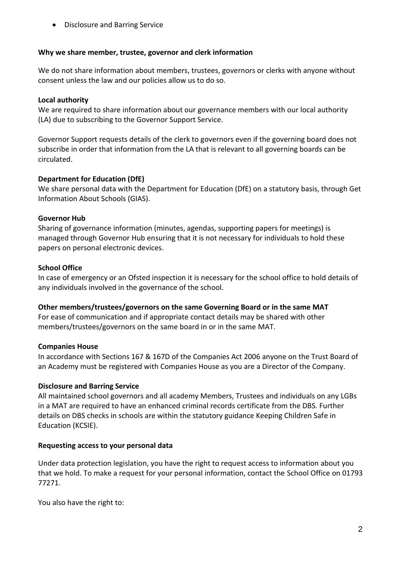Disclosure and Barring Service

### **Why we share member, trustee, governor and clerk information**

We do not share information about members, trustees, governors or clerks with anyone without consent unless the law and our policies allow us to do so.

## **Local authority**

We are required to share information about our governance members with our local authority (LA) due to subscribing to the Governor Support Service.

Governor Support requests details of the clerk to governors even if the governing board does not subscribe in order that information from the LA that is relevant to all governing boards can be circulated.

### **Department for Education (DfE)**

We share personal data with the Department for Education (DfE) on a statutory basis, through Get Information About Schools (GIAS).

### **Governor Hub**

Sharing of governance information (minutes, agendas, supporting papers for meetings) is managed through Governor Hub ensuring that it is not necessary for individuals to hold these papers on personal electronic devices.

# **School Office**

In case of emergency or an Ofsted inspection it is necessary for the school office to hold details of any individuals involved in the governance of the school.

#### **Other members/trustees/governors on the same Governing Board or in the same MAT**

For ease of communication and if appropriate contact details may be shared with other members/trustees/governors on the same board in or in the same MAT.

#### **Companies House**

In accordance with Sections 167 & 167D of the Companies Act 2006 anyone on the Trust Board of an Academy must be registered with Companies House as you are a Director of the Company.

# **Disclosure and Barring Service**

All maintained school governors and all academy Members, Trustees and individuals on any LGBs in a MAT are required to have an enhanced criminal records certificate from the DBS. Further details on DBS checks in schools are within the statutory guidance Keeping Children Safe in Education (KCSIE).

# **Requesting access to your personal data**

Under data protection legislation, you have the right to request access to information about you that we hold. To make a request for your personal information, contact the School Office on 01793 77271.

You also have the right to: